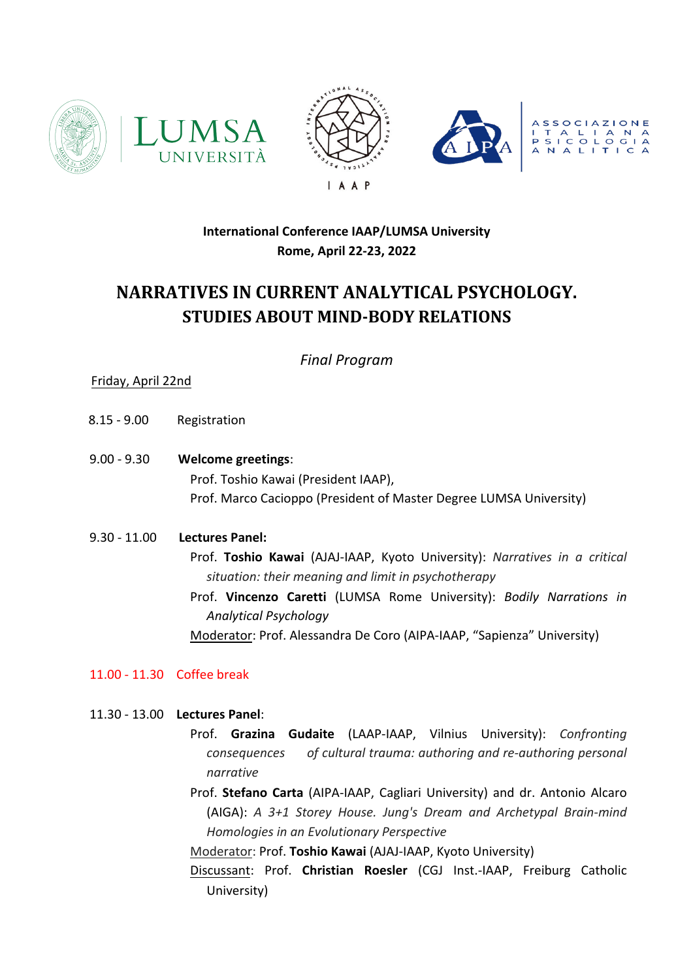







## **International Conference IAAP/LUMSA University Rome, April 22-23, 2022**

# **NARRATIVES IN CURRENT ANALYTICAL PSYCHOLOGY. STUDIES ABOUT MIND-BODY RELATIONS**

*Final Program*

## Friday, April 22nd

- 8.15 9.00 Registration
- 9.00 9.30 **Welcome greetings**: Prof. Toshio Kawai (President IAAP), Prof. Marco Cacioppo (President of Master Degree LUMSA University)
- 9.30 11.00 **Lectures Panel:**

Prof. **Toshio Kawai** (AJAJ-IAAP, Kyoto University): *Narratives in a critical situation: their meaning and limit in psychotherapy*

Prof. **Vincenzo Caretti** (LUMSA Rome University): *Bodily Narrations in Analytical Psychology*

Moderator: Prof. Alessandra De Coro (AIPA-IAAP, "Sapienza" University)

11.00 - 11.30 Coffee break

### 11.30 - 13.00 **Lectures Panel**:

- Prof. **Grazina Gudaite** (LAAP-IAAP, Vilnius University): *Confronting consequences of cultural trauma: authoring and re-authoring personal narrative*
- Prof. **Stefano Carta** (AIPA-IAAP, Cagliari University) and dr. Antonio Alcaro (AIGA): *A 3+1 Storey House. Jung's Dream and Archetypal Brain-mind Homologies in an Evolutionary Perspective*

Moderator: Prof. **Toshio Kawai** (AJAJ-IAAP, Kyoto University)

Discussant: Prof. **Christian Roesler** (CGJ Inst.-IAAP, Freiburg Catholic University)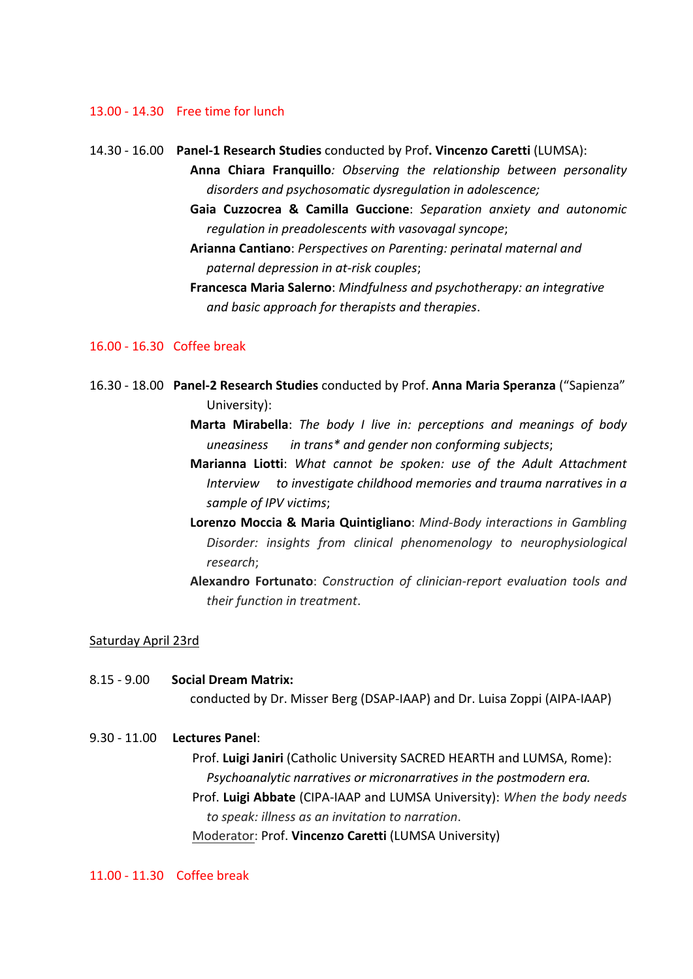#### 13.00 - 14.30 Free time for lunch

14.30 - 16.00 **Panel-1 Research Studies** conducted by Prof**. Vincenzo Caretti** (LUMSA): **Anna Chiara Franquillo***: Observing the relationship between personality disorders and psychosomatic dysregulation in adolescence;* **Gaia Cuzzocrea & Camilla Guccione**: *Separation anxiety and autonomic regulation in preadolescents with vasovagal syncope*; **Arianna Cantiano**: *Perspectives on Parenting: perinatal maternal and paternal depression in at-risk couples*; **Francesca Maria Salerno**: *Mindfulness and psychotherapy: an integrative* 

#### 16.00 - 16.30 Coffee break

16.30 - 18.00 **Panel-2 Research Studies** conducted by Prof. **Anna Maria Speranza** ("Sapienza" University):

*and basic approach for therapists and therapies*.

- **Marta Mirabella**: *The body I live in: perceptions and meanings of body uneasiness in trans\* and gender non conforming subjects*;
- **Marianna Liotti**: *What cannot be spoken: use of the Adult Attachment Interview to investigate childhood memories and trauma narratives in a sample of IPV victims*;
- **Lorenzo Moccia & Maria Quintigliano**: *Mind-Body interactions in Gambling Disorder: insights from clinical phenomenology to neurophysiological research*;
- **Alexandro Fortunato**: *Construction of clinician-report evaluation tools and their function in treatment*.

#### Saturday April 23rd

8.15 - 9.00 **Social Dream Matrix:** conducted by Dr. Misser Berg (DSAP-IAAP) and Dr. Luisa Zoppi (AIPA-IAAP)

#### 9.30 - 11.00 **Lectures Panel**:

Prof. **Luigi Janiri** (Catholic University SACRED HEARTH and LUMSA, Rome): *Psychoanalytic narratives or micronarratives in the postmodern era.* Prof. **Luigi Abbate** (CIPA-IAAP and LUMSA University): *When the body needs to speak: illness as an invitation to narration*. Moderator: Prof. **Vincenzo Caretti** (LUMSA University)

11.00 - 11.30 Coffee break